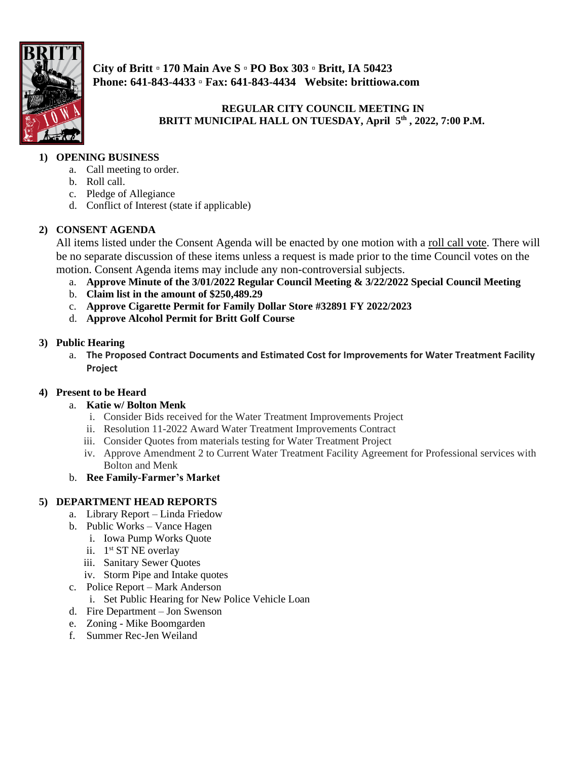

**City of Britt ▫ 170 Main Ave S ▫ PO Box 303 ▫ Britt, IA 50423 Phone: 641-843-4433 ▫ Fax: 641-843-4434 Website: brittiowa.com**

**REGULAR CITY COUNCIL MEETING IN BRITT MUNICIPAL HALL ON TUESDAY, April 5 th , 2022, 7:00 P.M.** 

# **1) OPENING BUSINESS**

- a. Call meeting to order.
- b. Roll call.
- c. Pledge of Allegiance
- d. Conflict of Interest (state if applicable)

### **2) CONSENT AGENDA**

All items listed under the Consent Agenda will be enacted by one motion with a roll call vote. There will be no separate discussion of these items unless a request is made prior to the time Council votes on the motion. Consent Agenda items may include any non-controversial subjects.

- a. **Approve Minute of the 3/01/2022 Regular Council Meeting & 3/22/2022 Special Council Meeting**
- b. **Claim list in the amount of \$250,489.29**
- c. **Approve Cigarette Permit for Family Dollar Store #32891 FY 2022/2023**
- d. **Approve Alcohol Permit for Britt Golf Course**

#### **3) Public Hearing**

a. **The Proposed Contract Documents and Estimated Cost for Improvements for Water Treatment Facility Project**

#### **4) Present to be Heard**

- a. **Katie w/ Bolton Menk** 
	- i. Consider Bids received for the Water Treatment Improvements Project
	- ii. Resolution 11-2022 Award Water Treatment Improvements Contract
	- iii. Consider Quotes from materials testing for Water Treatment Project
	- iv. Approve Amendment 2 to Current Water Treatment Facility Agreement for Professional services with Bolton and Menk
- b. **Ree Family-Farmer's Market**

## **5) DEPARTMENT HEAD REPORTS**

- a. Library Report Linda Friedow
- b. Public Works Vance Hagen
	- i. Iowa Pump Works Quote
	- ii. 1<sup>st</sup> ST NE overlay
	- iii. Sanitary Sewer Quotes
	- iv. Storm Pipe and Intake quotes
- c. Police Report Mark Anderson
- i. Set Public Hearing for New Police Vehicle Loan
- d. Fire Department Jon Swenson
- e. Zoning Mike Boomgarden
- f. Summer Rec-Jen Weiland